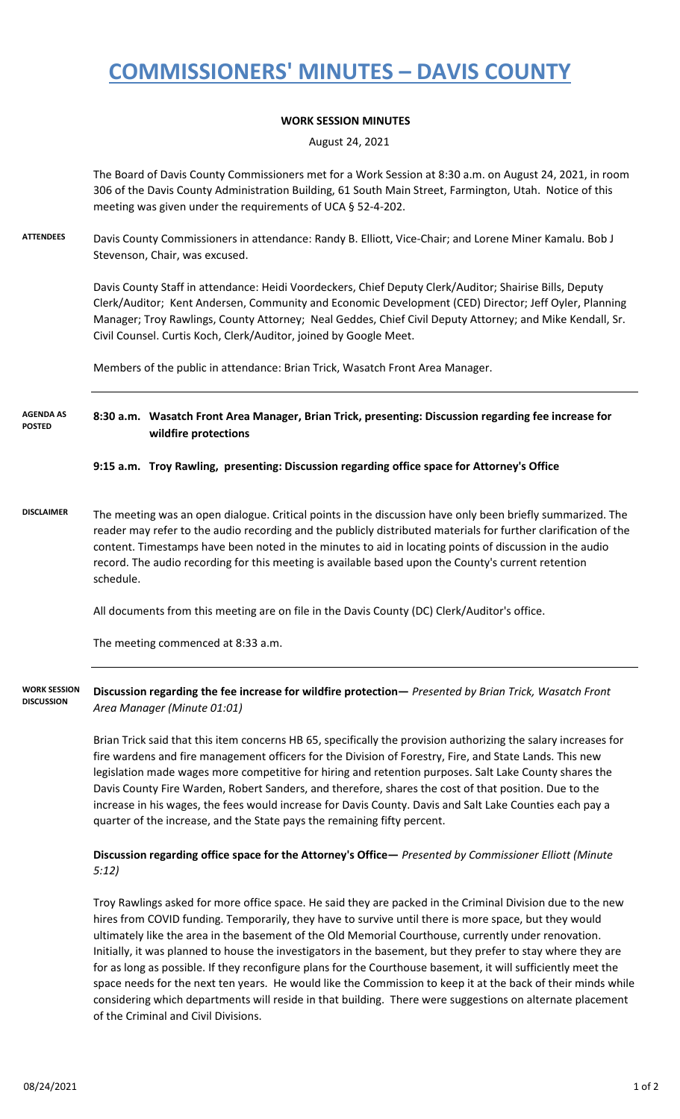## **COMMISSIONERS' MINUTES – DAVIS COUNTY**

## **WORK SESSION MINUTES**

August 24, 2021

The Board of Davis County Commissioners met for a Work Session at 8:30 a.m. on August 24, 2021, in room 306 of the Davis County Administration Building, 61 South Main Street, Farmington, Utah. Notice of this meeting was given under the requirements of UCA § 52-4-202.

**ATTENDEES** Davis County Commissioners in attendance: Randy B. Elliott, Vice-Chair; and Lorene Miner Kamalu. Bob J Stevenson, Chair, was excused.

> Davis County Staff in attendance: Heidi Voordeckers, Chief Deputy Clerk/Auditor; Shairise Bills, Deputy Clerk/Auditor; Kent Andersen, Community and Economic Development (CED) Director; Jeff Oyler, Planning Manager; Troy Rawlings, County Attorney; Neal Geddes, Chief Civil Deputy Attorney; and Mike Kendall, Sr. Civil Counsel. Curtis Koch, Clerk/Auditor, joined by Google Meet.

Members of the public in attendance: Brian Trick, Wasatch Front Area Manager.

**8:30 a.m. Wasatch Front Area Manager, Brian Trick, presenting: Discussion regarding fee increase for wildfire protections AGENDA AS POSTED**

#### **9:15 a.m. Troy Rawling, presenting: Discussion regarding office space for Attorney's Office**

**DISCLAIMER** The meeting was an open dialogue. Critical points in the discussion have only been briefly summarized. The reader may refer to the audio recording and the publicly distributed materials for further clarification of the content. Timestamps have been noted in the minutes to aid in locating points of discussion in the audio record. The audio recording for this meeting is available based upon the County's current retention schedule.

All documents from this meeting are on file in the Davis County (DC) Clerk/Auditor's office.

The meeting commenced at 8:33 a.m.

**Discussion regarding the fee increase for wildfire protection—** *Presented by Brian Trick, Wasatch Front Area Manager (Minute 01:01)* **WORK SESSION DISCUSSION**

> Brian Trick said that this item concerns HB 65, specifically the provision authorizing the salary increases for fire wardens and fire management officers for the Division of Forestry, Fire, and State Lands. This new legislation made wages more competitive for hiring and retention purposes. Salt Lake County shares the Davis County Fire Warden, Robert Sanders, and therefore, shares the cost of that position. Due to the increase in his wages, the fees would increase for Davis County. Davis and Salt Lake Counties each pay a quarter of the increase, and the State pays the remaining fifty percent.

## **Discussion regarding office space for the Attorney's Office—** *Presented by Commissioner Elliott (Minute 5:12)*

Troy Rawlings asked for more office space. He said they are packed in the Criminal Division due to the new hires from COVID funding. Temporarily, they have to survive until there is more space, but they would ultimately like the area in the basement of the Old Memorial Courthouse, currently under renovation. Initially, it was planned to house the investigators in the basement, but they prefer to stay where they are for as long as possible. If they reconfigure plans for the Courthouse basement, it will sufficiently meet the space needs for the next ten years. He would like the Commission to keep it at the back of their minds while considering which departments will reside in that building. There were suggestions on alternate placement of the Criminal and Civil Divisions.